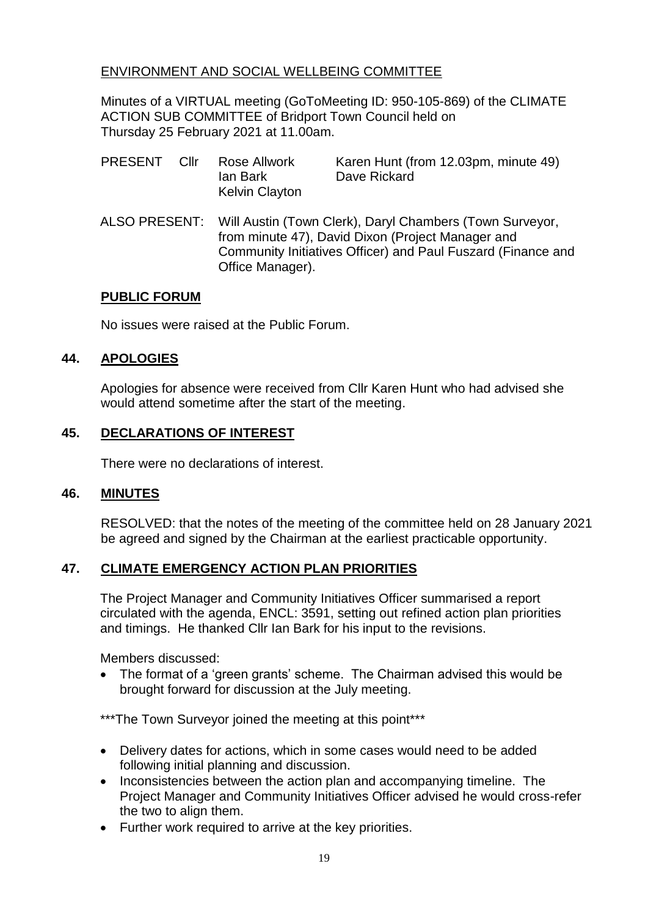# ENVIRONMENT AND SOCIAL WELLBEING COMMITTEE

Minutes of a VIRTUAL meeting (GoToMeeting ID: 950-105-869) of the CLIMATE ACTION SUB COMMITTEE of Bridport Town Council held on Thursday 25 February 2021 at 11.00am.

- PRESENT Cllr Rose Allwork Karen Hunt (from 12.03pm, minute 49) Ian Bark Dave Rickard Kelvin Clayton
- ALSO PRESENT: Will Austin (Town Clerk), Daryl Chambers (Town Surveyor, from minute 47), David Dixon (Project Manager and Community Initiatives Officer) and Paul Fuszard (Finance and Office Manager).

### **PUBLIC FORUM**

No issues were raised at the Public Forum.

## **44. APOLOGIES**

Apologies for absence were received from Cllr Karen Hunt who had advised she would attend sometime after the start of the meeting.

## **45. DECLARATIONS OF INTEREST**

There were no declarations of interest.

### **46. MINUTES**

RESOLVED: that the notes of the meeting of the committee held on 28 January 2021 be agreed and signed by the Chairman at the earliest practicable opportunity.

## **47. CLIMATE EMERGENCY ACTION PLAN PRIORITIES**

The Project Manager and Community Initiatives Officer summarised a report circulated with the agenda, ENCL: 3591, setting out refined action plan priorities and timings. He thanked Cllr Ian Bark for his input to the revisions.

Members discussed:

• The format of a 'green grants' scheme. The Chairman advised this would be brought forward for discussion at the July meeting.

\*\*\*The Town Surveyor joined the meeting at this point\*\*\*

- Delivery dates for actions, which in some cases would need to be added following initial planning and discussion.
- Inconsistencies between the action plan and accompanying timeline. The Project Manager and Community Initiatives Officer advised he would cross-refer the two to align them.
- Further work required to arrive at the key priorities.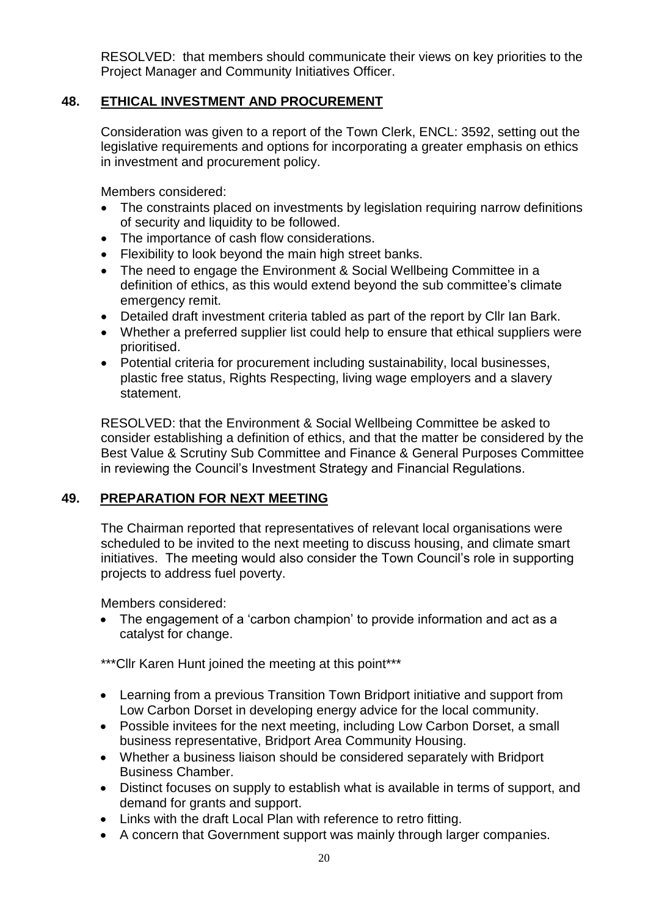RESOLVED: that members should communicate their views on key priorities to the Project Manager and Community Initiatives Officer.

## **48. ETHICAL INVESTMENT AND PROCUREMENT**

Consideration was given to a report of the Town Clerk, ENCL: 3592, setting out the legislative requirements and options for incorporating a greater emphasis on ethics in investment and procurement policy.

Members considered:

- The constraints placed on investments by legislation requiring narrow definitions of security and liquidity to be followed.
- The importance of cash flow considerations.
- Flexibility to look beyond the main high street banks.
- The need to engage the Environment & Social Wellbeing Committee in a definition of ethics, as this would extend beyond the sub committee's climate emergency remit.
- Detailed draft investment criteria tabled as part of the report by Cllr Ian Bark.
- Whether a preferred supplier list could help to ensure that ethical suppliers were prioritised.
- Potential criteria for procurement including sustainability, local businesses, plastic free status, Rights Respecting, living wage employers and a slavery statement.

RESOLVED: that the Environment & Social Wellbeing Committee be asked to consider establishing a definition of ethics, and that the matter be considered by the Best Value & Scrutiny Sub Committee and Finance & General Purposes Committee in reviewing the Council's Investment Strategy and Financial Regulations.

### **49. PREPARATION FOR NEXT MEETING**

The Chairman reported that representatives of relevant local organisations were scheduled to be invited to the next meeting to discuss housing, and climate smart initiatives. The meeting would also consider the Town Council's role in supporting projects to address fuel poverty.

Members considered:

• The engagement of a 'carbon champion' to provide information and act as a catalyst for change.

\*\*\*Cllr Karen Hunt joined the meeting at this point\*\*\*

- Learning from a previous Transition Town Bridport initiative and support from Low Carbon Dorset in developing energy advice for the local community.
- Possible invitees for the next meeting, including Low Carbon Dorset, a small business representative, Bridport Area Community Housing.
- Whether a business liaison should be considered separately with Bridport Business Chamber.
- Distinct focuses on supply to establish what is available in terms of support, and demand for grants and support.
- Links with the draft Local Plan with reference to retro fitting.
- A concern that Government support was mainly through larger companies.